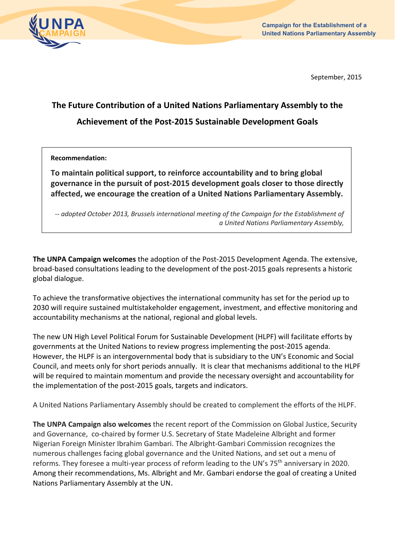

September, 2015

## **The Future Contribution of a United Nations Parliamentary Assembly to the Achievement of the Post‐2015 Sustainable Development Goals**

## **Recommendation:**

**To maintain political support, to reinforce accountability and to bring global governance in the pursuit of post‐2015 development goals closer to those directly affected, we encourage the creation of a United Nations Parliamentary Assembly.** 

*‐‐ adopted October 2013, Brussels international meeting of the Campaign for the Establishment of a United Nations Parliamentary Assembly,* 

**The UNPA Campaign welcomes** the adoption of the Post‐2015 Development Agenda. The extensive, broad‐based consultations leading to the development of the post‐2015 goals represents a historic global dialogue.

To achieve the transformative objectives the international community has set for the period up to 2030 will require sustained multistakeholder engagement, investment, and effective monitoring and accountability mechanisms at the national, regional and global levels.

The new UN High Level Political Forum for Sustainable Development (HLPF) will facilitate efforts by governments at the United Nations to review progress implementing the post‐2015 agenda. However, the HLPF is an intergovernmental body that is subsidiary to the UN's Economic and Social Council, and meets only for short periods annually. It is clear that mechanisms additional to the HLPF will be required to maintain momentum and provide the necessary oversight and accountability for the implementation of the post‐2015 goals, targets and indicators.

A United Nations Parliamentary Assembly should be created to complement the efforts of the HLPF.

**The UNPA Campaign also welcomes** the recent report of the Commission on Global Justice, Security and Governance, co‐chaired by former U.S. Secretary of State Madeleine Albright and former Nigerian Foreign Minister Ibrahim Gambari. The Albright‐Gambari Commission recognizes the numerous challenges facing global governance and the United Nations, and set out a menu of reforms. They foresee a multi-year process of reform leading to the UN's 75<sup>th</sup> anniversary in 2020. Among their recommendations, Ms. Albright and Mr. Gambari endorse the goal of creating a United Nations Parliamentary Assembly at the UN.